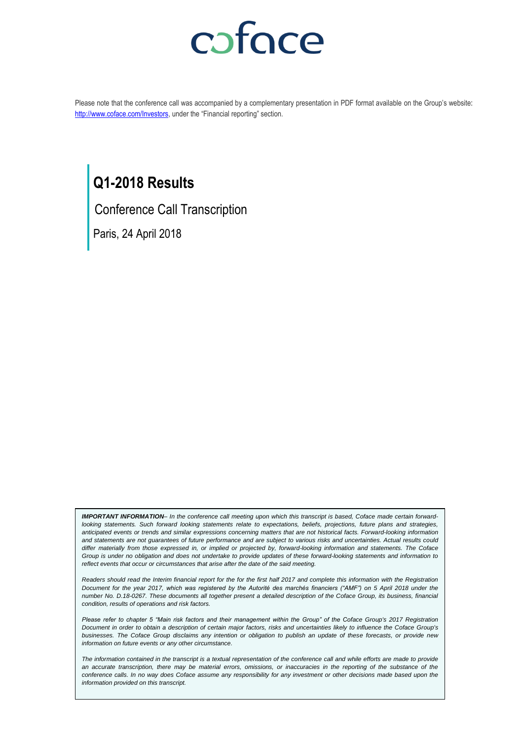# coface

Please note that the conference call was accompanied by a complementary presentation in PDF format available on the Group's website: <http://www.coface.com/Investors>, under the "Financial reporting" section.

### **Q1-2018 Results**

Conference Call Transcription

Paris, 24 April 2018

*IMPORTANT INFORMATION– In the conference call meeting upon which this transcript is based, Coface made certain forwardlooking statements. Such forward looking statements relate to expectations, beliefs, projections, future plans and strategies, anticipated events or trends and similar expressions concerning matters that are not historical facts. Forward-looking information and statements are not guarantees of future performance and are subject to various risks and uncertainties. Actual results could differ materially from those expressed in, or implied or projected by, forward-looking information and statements. The Coface Group is under no obligation and does not undertake to provide updates of these forward-looking statements and information to reflect events that occur or circumstances that arise after the date of the said meeting.*

*Readers should read the Interim financial report for the for the first half 2017 and complete this information with the Registration Document for the year 2017, which was registered by the Autorité des marchés financiers ("AMF") on 5 April 2018 under the number No. D.18-0267. These documents all together present a detailed description of the Coface Group, its business, financial condition, results of operations and risk factors.*

*Please refer to chapter 5 "Main risk factors and their management within the Group" of the Coface Group's 2017 Registration Document in order to obtain a description of certain major factors, risks and uncertainties likely to influence the Coface Group's businesses. The Coface Group disclaims any intention or obligation to publish an update of these forecasts, or provide new information on future events or any other circumstance.*

*The information contained in the transcript is a textual representation of the conference call and while efforts are made to provide an accurate transcription, there may be material errors, omissions, or inaccuracies in the reporting of the substance of the*  conference calls. In no way does Coface assume any responsibility for any investment or other decisions made based upon the *information provided on this transcript.*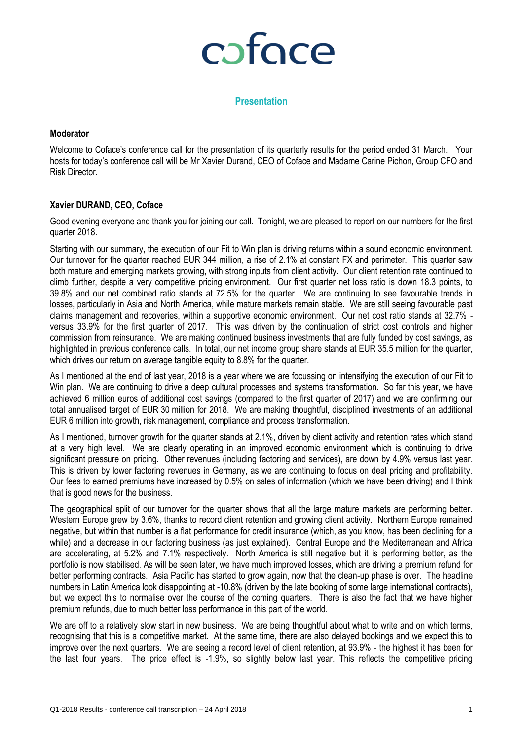# coface

### **Presentation**

#### **Moderator**

Welcome to Coface's conference call for the presentation of its quarterly results for the period ended 31 March. Your hosts for today's conference call will be Mr Xavier Durand, CEO of Coface and Madame Carine Pichon, Group CFO and Risk Director.

#### **Xavier DURAND, CEO, Coface**

Good evening everyone and thank you for joining our call. Tonight, we are pleased to report on our numbers for the first quarter 2018.

Starting with our summary, the execution of our Fit to Win plan is driving returns within a sound economic environment. Our turnover for the quarter reached EUR 344 million, a rise of 2.1% at constant FX and perimeter. This quarter saw both mature and emerging markets growing, with strong inputs from client activity. Our client retention rate continued to climb further, despite a very competitive pricing environment. Our first quarter net loss ratio is down 18.3 points, to 39.8% and our net combined ratio stands at 72.5% for the quarter. We are continuing to see favourable trends in losses, particularly in Asia and North America, while mature markets remain stable. We are still seeing favourable past claims management and recoveries, within a supportive economic environment. Our net cost ratio stands at 32.7% versus 33.9% for the first quarter of 2017. This was driven by the continuation of strict cost controls and higher commission from reinsurance. We are making continued business investments that are fully funded by cost savings, as highlighted in previous conference calls. In total, our net income group share stands at EUR 35.5 million for the quarter, which drives our return on average tangible equity to 8.8% for the quarter.

As I mentioned at the end of last year, 2018 is a year where we are focussing on intensifying the execution of our Fit to Win plan. We are continuing to drive a deep cultural processes and systems transformation. So far this year, we have achieved 6 million euros of additional cost savings (compared to the first quarter of 2017) and we are confirming our total annualised target of EUR 30 million for 2018. We are making thoughtful, disciplined investments of an additional EUR 6 million into growth, risk management, compliance and process transformation.

As I mentioned, turnover growth for the quarter stands at 2.1%, driven by client activity and retention rates which stand at a very high level. We are clearly operating in an improved economic environment which is continuing to drive significant pressure on pricing. Other revenues (including factoring and services), are down by 4.9% versus last year. This is driven by lower factoring revenues in Germany, as we are continuing to focus on deal pricing and profitability. Our fees to earned premiums have increased by 0.5% on sales of information (which we have been driving) and I think that is good news for the business.

The geographical split of our turnover for the quarter shows that all the large mature markets are performing better. Western Europe grew by 3.6%, thanks to record client retention and growing client activity. Northern Europe remained negative, but within that number is a flat performance for credit insurance (which, as you know, has been declining for a while) and a decrease in our factoring business (as just explained). Central Europe and the Mediterranean and Africa are accelerating, at 5.2% and 7.1% respectively. North America is still negative but it is performing better, as the portfolio is now stabilised. As will be seen later, we have much improved losses, which are driving a premium refund for better performing contracts. Asia Pacific has started to grow again, now that the clean-up phase is over. The headline numbers in Latin America look disappointing at -10.8% (driven by the late booking of some large international contracts), but we expect this to normalise over the course of the coming quarters. There is also the fact that we have higher premium refunds, due to much better loss performance in this part of the world.

We are off to a relatively slow start in new business. We are being thoughtful about what to write and on which terms, recognising that this is a competitive market. At the same time, there are also delayed bookings and we expect this to improve over the next quarters. We are seeing a record level of client retention, at 93.9% - the highest it has been for the last four years. The price effect is -1.9%, so slightly below last year. This reflects the competitive pricing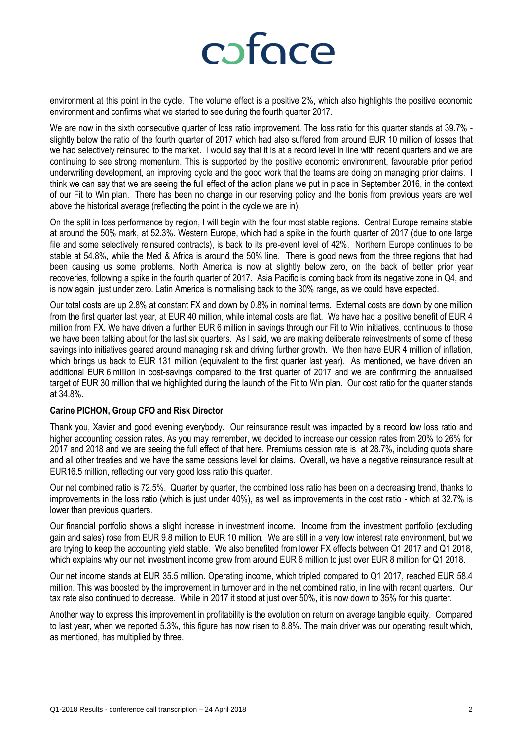

environment at this point in the cycle. The volume effect is a positive 2%, which also highlights the positive economic environment and confirms what we started to see during the fourth quarter 2017.

We are now in the sixth consecutive quarter of loss ratio improvement. The loss ratio for this quarter stands at 39.7% slightly below the ratio of the fourth quarter of 2017 which had also suffered from around EUR 10 million of losses that we had selectively reinsured to the market. I would say that it is at a record level in line with recent quarters and we are continuing to see strong momentum. This is supported by the positive economic environment, favourable prior period underwriting development, an improving cycle and the good work that the teams are doing on managing prior claims. I think we can say that we are seeing the full effect of the action plans we put in place in September 2016, in the context of our Fit to Win plan. There has been no change in our reserving policy and the bonis from previous years are well above the historical average (reflecting the point in the cycle we are in).

On the split in loss performance by region, I will begin with the four most stable regions. Central Europe remains stable at around the 50% mark, at 52.3%. Western Europe, which had a spike in the fourth quarter of 2017 (due to one large file and some selectively reinsured contracts), is back to its pre-event level of 42%. Northern Europe continues to be stable at 54.8%, while the Med & Africa is around the 50% line. There is good news from the three regions that had been causing us some problems. North America is now at slightly below zero, on the back of better prior year recoveries, following a spike in the fourth quarter of 2017. Asia Pacific is coming back from its negative zone in Q4, and is now again just under zero. Latin America is normalising back to the 30% range, as we could have expected.

Our total costs are up 2.8% at constant FX and down by 0.8% in nominal terms. External costs are down by one million from the first quarter last year, at EUR 40 million, while internal costs are flat. We have had a positive benefit of EUR 4 million from FX. We have driven a further EUR 6 million in savings through our Fit to Win initiatives, continuous to those we have been talking about for the last six quarters. As I said, we are making deliberate reinvestments of some of these savings into initiatives geared around managing risk and driving further growth. We then have EUR 4 million of inflation, which brings us back to EUR 131 million (equivalent to the first quarter last year). As mentioned, we have driven an additional EUR 6 million in cost-savings compared to the first quarter of 2017 and we are confirming the annualised target of EUR 30 million that we highlighted during the launch of the Fit to Win plan. Our cost ratio for the quarter stands at 34.8%.

#### **Carine PICHON, Group CFO and Risk Director**

Thank you, Xavier and good evening everybody. Our reinsurance result was impacted by a record low loss ratio and higher accounting cession rates. As you may remember, we decided to increase our cession rates from 20% to 26% for 2017 and 2018 and we are seeing the full effect of that here. Premiums cession rate is at 28.7%, including quota share and all other treaties and we have the same cessions level for claims. Overall, we have a negative reinsurance result at EUR16.5 million, reflecting our very good loss ratio this quarter.

Our net combined ratio is 72.5%. Quarter by quarter, the combined loss ratio has been on a decreasing trend, thanks to improvements in the loss ratio (which is just under 40%), as well as improvements in the cost ratio - which at 32.7% is lower than previous quarters.

Our financial portfolio shows a slight increase in investment income. Income from the investment portfolio (excluding gain and sales) rose from EUR 9.8 million to EUR 10 million. We are still in a very low interest rate environment, but we are trying to keep the accounting yield stable. We also benefited from lower FX effects between Q1 2017 and Q1 2018, which explains why our net investment income grew from around EUR 6 million to just over EUR 8 million for Q1 2018.

Our net income stands at EUR 35.5 million. Operating income, which tripled compared to Q1 2017, reached EUR 58.4 million. This was boosted by the improvement in turnover and in the net combined ratio, in line with recent quarters. Our tax rate also continued to decrease. While in 2017 it stood at just over 50%, it is now down to 35% for this quarter.

Another way to express this improvement in profitability is the evolution on return on average tangible equity. Compared to last year, when we reported 5.3%, this figure has now risen to 8.8%. The main driver was our operating result which, as mentioned, has multiplied by three.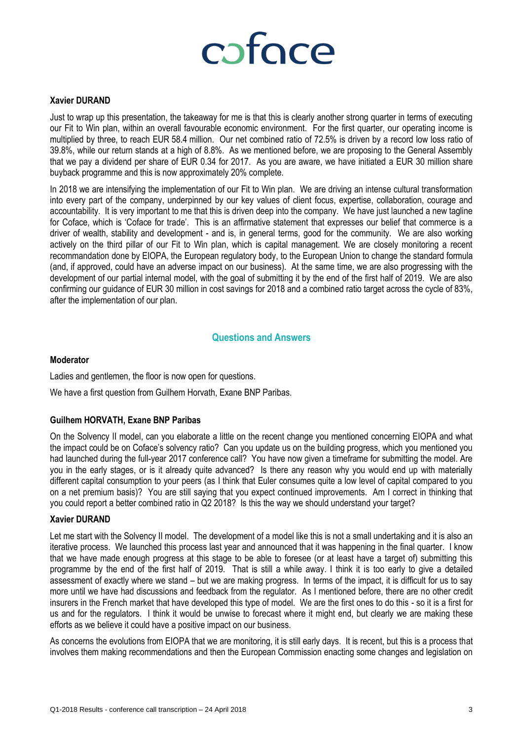

#### **Xavier DURAND**

Just to wrap up this presentation, the takeaway for me is that this is clearly another strong quarter in terms of executing our Fit to Win plan, within an overall favourable economic environment. For the first quarter, our operating income is multiplied by three, to reach EUR 58.4 million. Our net combined ratio of 72.5% is driven by a record low loss ratio of 39.8%, while our return stands at a high of 8.8%. As we mentioned before, we are proposing to the General Assembly that we pay a dividend per share of EUR 0.34 for 2017. As you are aware, we have initiated a EUR 30 million share buyback programme and this is now approximately 20% complete.

In 2018 we are intensifying the implementation of our Fit to Win plan. We are driving an intense cultural transformation into every part of the company, underpinned by our key values of client focus, expertise, collaboration, courage and accountability. It is very important to me that this is driven deep into the company. We have just launched a new tagline for Coface, which is 'Coface for trade'. This is an affirmative statement that expresses our belief that commerce is a driver of wealth, stability and development - and is, in general terms, good for the community. We are also working actively on the third pillar of our Fit to Win plan, which is capital management. We are closely monitoring a recent recommandation done by EIOPA, the European regulatory body, to the European Union to change the standard formula (and, if approved, could have an adverse impact on our business). At the same time, we are also progressing with the development of our partial internal model, with the goal of submitting it by the end of the first half of 2019. We are also confirming our guidance of EUR 30 million in cost savings for 2018 and a combined ratio target across the cycle of 83%, after the implementation of our plan.

### **Questions and Answers**

#### **Moderator**

Ladies and gentlemen, the floor is now open for questions.

We have a first question from Guilhem Horvath, Exane BNP Paribas.

#### **Guilhem HORVATH, Exane BNP Paribas**

On the Solvency II model, can you elaborate a little on the recent change you mentioned concerning EIOPA and what the impact could be on Coface's solvency ratio? Can you update us on the building progress, which you mentioned you had launched during the full-year 2017 conference call? You have now given a timeframe for submitting the model. Are you in the early stages, or is it already quite advanced? Is there any reason why you would end up with materially different capital consumption to your peers (as I think that Euler consumes quite a low level of capital compared to you on a net premium basis)? You are still saying that you expect continued improvements. Am I correct in thinking that you could report a better combined ratio in Q2 2018? Is this the way we should understand your target?

#### **Xavier DURAND**

Let me start with the Solvency II model. The development of a model like this is not a small undertaking and it is also an iterative process. We launched this process last year and announced that it was happening in the final quarter. I know that we have made enough progress at this stage to be able to foresee (or at least have a target of) submitting this programme by the end of the first half of 2019. That is still a while away. I think it is too early to give a detailed assessment of exactly where we stand – but we are making progress. In terms of the impact, it is difficult for us to say more until we have had discussions and feedback from the regulator. As I mentioned before, there are no other credit insurers in the French market that have developed this type of model. We are the first ones to do this - so it is a first for us and for the regulators. I think it would be unwise to forecast where it might end, but clearly we are making these efforts as we believe it could have a positive impact on our business.

As concerns the evolutions from EIOPA that we are monitoring, it is still early days. It is recent, but this is a process that involves them making recommendations and then the European Commission enacting some changes and legislation on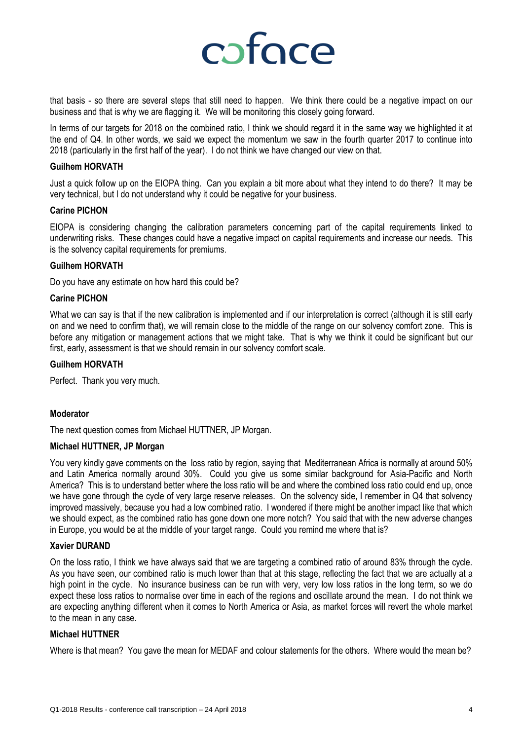

that basis - so there are several steps that still need to happen. We think there could be a negative impact on our business and that is why we are flagging it. We will be monitoring this closely going forward.

In terms of our targets for 2018 on the combined ratio, I think we should regard it in the same way we highlighted it at the end of Q4. In other words, we said we expect the momentum we saw in the fourth quarter 2017 to continue into 2018 (particularly in the first half of the year). I do not think we have changed our view on that.

#### **Guilhem HORVATH**

Just a quick follow up on the EIOPA thing. Can you explain a bit more about what they intend to do there? It may be very technical, but I do not understand why it could be negative for your business.

#### **Carine PICHON**

EIOPA is considering changing the calibration parameters concerning part of the capital requirements linked to underwriting risks. These changes could have a negative impact on capital requirements and increase our needs. This is the solvency capital requirements for premiums.

#### **Guilhem HORVATH**

Do you have any estimate on how hard this could be?

#### **Carine PICHON**

What we can say is that if the new calibration is implemented and if our interpretation is correct (although it is still early on and we need to confirm that), we will remain close to the middle of the range on our solvency comfort zone. This is before any mitigation or management actions that we might take. That is why we think it could be significant but our first, early, assessment is that we should remain in our solvency comfort scale.

#### **Guilhem HORVATH**

Perfect. Thank you very much.

#### **Moderator**

The next question comes from Michael HUTTNER, JP Morgan.

#### **Michael HUTTNER, JP Morgan**

You very kindly gave comments on the loss ratio by region, saying that Mediterranean Africa is normally at around 50% and Latin America normally around 30%. Could you give us some similar background for Asia-Pacific and North America? This is to understand better where the loss ratio will be and where the combined loss ratio could end up, once we have gone through the cycle of very large reserve releases. On the solvency side, I remember in Q4 that solvency improved massively, because you had a low combined ratio. I wondered if there might be another impact like that which we should expect, as the combined ratio has gone down one more notch? You said that with the new adverse changes in Europe, you would be at the middle of your target range. Could you remind me where that is?

#### **Xavier DURAND**

On the loss ratio, I think we have always said that we are targeting a combined ratio of around 83% through the cycle. As you have seen, our combined ratio is much lower than that at this stage, reflecting the fact that we are actually at a high point in the cycle. No insurance business can be run with very, very low loss ratios in the long term, so we do expect these loss ratios to normalise over time in each of the regions and oscillate around the mean. I do not think we are expecting anything different when it comes to North America or Asia, as market forces will revert the whole market to the mean in any case.

#### **Michael HUTTNER**

Where is that mean? You gave the mean for MEDAF and colour statements for the others. Where would the mean be?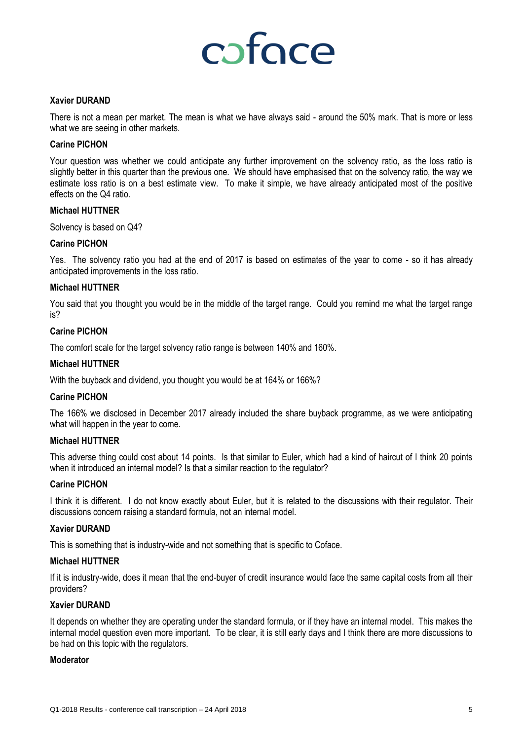# coface

#### **Xavier DURAND**

There is not a mean per market. The mean is what we have always said - around the 50% mark. That is more or less what we are seeing in other markets.

#### **Carine PICHON**

Your question was whether we could anticipate any further improvement on the solvency ratio, as the loss ratio is slightly better in this quarter than the previous one. We should have emphasised that on the solvency ratio, the way we estimate loss ratio is on a best estimate view. To make it simple, we have already anticipated most of the positive effects on the Q4 ratio.

#### **Michael HUTTNER**

Solvency is based on Q4?

### **Carine PICHON**

Yes. The solvency ratio you had at the end of 2017 is based on estimates of the year to come - so it has already anticipated improvements in the loss ratio.

#### **Michael HUTTNER**

You said that you thought you would be in the middle of the target range. Could you remind me what the target range is?

#### **Carine PICHON**

The comfort scale for the target solvency ratio range is between 140% and 160%.

#### **Michael HUTTNER**

With the buyback and dividend, you thought you would be at 164% or 166%?

#### **Carine PICHON**

The 166% we disclosed in December 2017 already included the share buyback programme, as we were anticipating what will happen in the year to come.

#### **Michael HUTTNER**

This adverse thing could cost about 14 points. Is that similar to Euler, which had a kind of haircut of I think 20 points when it introduced an internal model? Is that a similar reaction to the regulator?

#### **Carine PICHON**

I think it is different. I do not know exactly about Euler, but it is related to the discussions with their regulator. Their discussions concern raising a standard formula, not an internal model.

#### **Xavier DURAND**

This is something that is industry-wide and not something that is specific to Coface.

#### **Michael HUTTNER**

If it is industry-wide, does it mean that the end-buyer of credit insurance would face the same capital costs from all their providers?

#### **Xavier DURAND**

It depends on whether they are operating under the standard formula, or if they have an internal model. This makes the internal model question even more important. To be clear, it is still early days and I think there are more discussions to be had on this topic with the regulators.

#### **Moderator**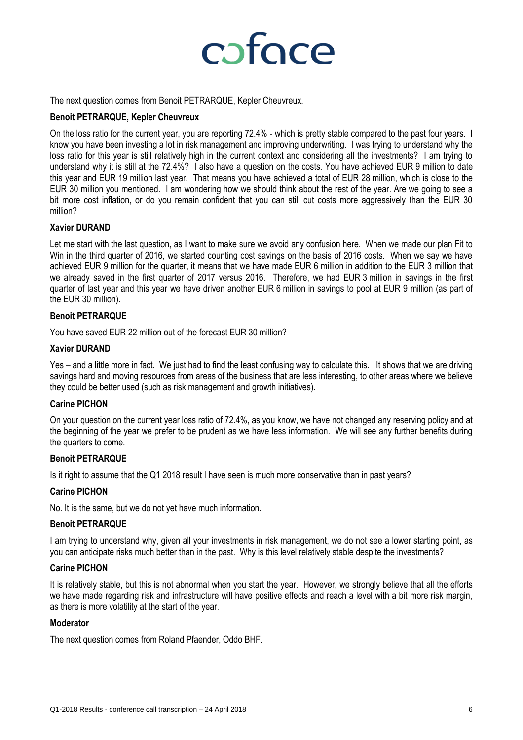

The next question comes from Benoit PETRARQUE, Kepler Cheuvreux.

#### **Benoit PETRARQUE, Kepler Cheuvreux**

On the loss ratio for the current year, you are reporting 72.4% - which is pretty stable compared to the past four years. I know you have been investing a lot in risk management and improving underwriting. I was trying to understand why the loss ratio for this year is still relatively high in the current context and considering all the investments? I am trying to understand why it is still at the 72.4%? I also have a question on the costs. You have achieved EUR 9 million to date this year and EUR 19 million last year. That means you have achieved a total of EUR 28 million, which is close to the EUR 30 million you mentioned. I am wondering how we should think about the rest of the year. Are we going to see a bit more cost inflation, or do you remain confident that you can still cut costs more aggressively than the EUR 30 million?

### **Xavier DURAND**

Let me start with the last question, as I want to make sure we avoid any confusion here. When we made our plan Fit to Win in the third quarter of 2016, we started counting cost savings on the basis of 2016 costs. When we say we have achieved EUR 9 million for the quarter, it means that we have made EUR 6 million in addition to the EUR 3 million that we already saved in the first quarter of 2017 versus 2016. Therefore, we had EUR 3 million in savings in the first quarter of last year and this year we have driven another EUR 6 million in savings to pool at EUR 9 million (as part of the EUR 30 million).

### **Benoit PETRARQUE**

You have saved EUR 22 million out of the forecast EUR 30 million?

### **Xavier DURAND**

Yes – and a little more in fact. We just had to find the least confusing way to calculate this. It shows that we are driving savings hard and moving resources from areas of the business that are less interesting, to other areas where we believe they could be better used (such as risk management and growth initiatives).

### **Carine PICHON**

On your question on the current year loss ratio of 72.4%, as you know, we have not changed any reserving policy and at the beginning of the year we prefer to be prudent as we have less information. We will see any further benefits during the quarters to come.

#### **Benoit PETRARQUE**

Is it right to assume that the Q1 2018 result I have seen is much more conservative than in past years?

#### **Carine PICHON**

No. It is the same, but we do not yet have much information.

#### **Benoit PETRARQUE**

I am trying to understand why, given all your investments in risk management, we do not see a lower starting point, as you can anticipate risks much better than in the past. Why is this level relatively stable despite the investments?

#### **Carine PICHON**

It is relatively stable, but this is not abnormal when you start the year. However, we strongly believe that all the efforts we have made regarding risk and infrastructure will have positive effects and reach a level with a bit more risk margin, as there is more volatility at the start of the year.

#### **Moderator**

The next question comes from Roland Pfaender, Oddo BHF.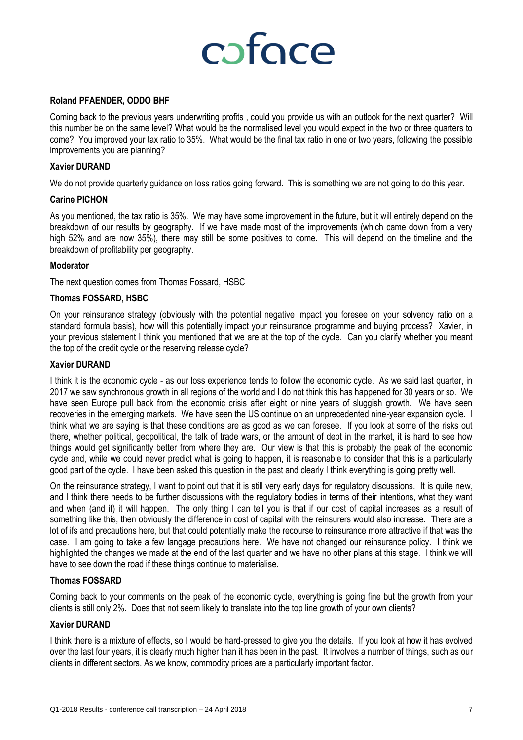# cofoce

#### **Roland PFAENDER, ODDO BHF**

Coming back to the previous years underwriting profits , could you provide us with an outlook for the next quarter? Will this number be on the same level? What would be the normalised level you would expect in the two or three quarters to come? You improved your tax ratio to 35%. What would be the final tax ratio in one or two years, following the possible improvements you are planning?

#### **Xavier DURAND**

We do not provide quarterly guidance on loss ratios going forward. This is something we are not going to do this year.

#### **Carine PICHON**

As you mentioned, the tax ratio is 35%. We may have some improvement in the future, but it will entirely depend on the breakdown of our results by geography. If we have made most of the improvements (which came down from a very high 52% and are now 35%), there may still be some positives to come. This will depend on the timeline and the breakdown of profitability per geography.

#### **Moderator**

The next question comes from Thomas Fossard, HSBC

#### **Thomas FOSSARD, HSBC**

On your reinsurance strategy (obviously with the potential negative impact you foresee on your solvency ratio on a standard formula basis), how will this potentially impact your reinsurance programme and buying process? Xavier, in your previous statement I think you mentioned that we are at the top of the cycle. Can you clarify whether you meant the top of the credit cycle or the reserving release cycle?

#### **Xavier DURAND**

I think it is the economic cycle - as our loss experience tends to follow the economic cycle. As we said last quarter, in 2017 we saw synchronous growth in all regions of the world and I do not think this has happened for 30 years or so. We have seen Europe pull back from the economic crisis after eight or nine years of sluggish growth. We have seen recoveries in the emerging markets. We have seen the US continue on an unprecedented nine-year expansion cycle. I think what we are saying is that these conditions are as good as we can foresee. If you look at some of the risks out there, whether political, geopolitical, the talk of trade wars, or the amount of debt in the market, it is hard to see how things would get significantly better from where they are. Our view is that this is probably the peak of the economic cycle and, while we could never predict what is going to happen, it is reasonable to consider that this is a particularly good part of the cycle. I have been asked this question in the past and clearly I think everything is going pretty well.

On the reinsurance strategy, I want to point out that it is still very early days for regulatory discussions. It is quite new, and I think there needs to be further discussions with the regulatory bodies in terms of their intentions, what they want and when (and if) it will happen. The only thing I can tell you is that if our cost of capital increases as a result of something like this, then obviously the difference in cost of capital with the reinsurers would also increase. There are a lot of ifs and precautions here, but that could potentially make the recourse to reinsurance more attractive if that was the case. I am going to take a few langage precautions here. We have not changed our reinsurance policy. I think we highlighted the changes we made at the end of the last quarter and we have no other plans at this stage. I think we will have to see down the road if these things continue to materialise.

#### **Thomas FOSSARD**

Coming back to your comments on the peak of the economic cycle, everything is going fine but the growth from your clients is still only 2%. Does that not seem likely to translate into the top line growth of your own clients?

#### **Xavier DURAND**

I think there is a mixture of effects, so I would be hard-pressed to give you the details. If you look at how it has evolved over the last four years, it is clearly much higher than it has been in the past. It involves a number of things, such as our clients in different sectors. As we know, commodity prices are a particularly important factor.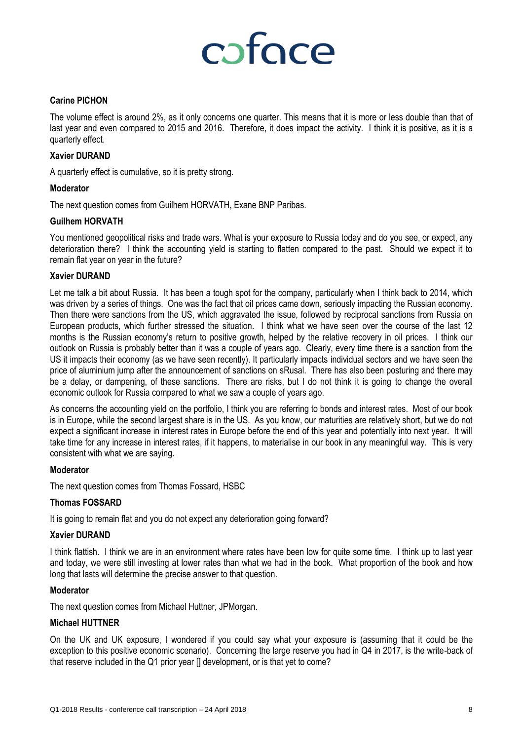# cofoce

#### **Carine PICHON**

The volume effect is around 2%, as it only concerns one quarter. This means that it is more or less double than that of last year and even compared to 2015 and 2016. Therefore, it does impact the activity. I think it is positive, as it is a quarterly effect.

#### **Xavier DURAND**

A quarterly effect is cumulative, so it is pretty strong.

#### **Moderator**

The next question comes from Guilhem HORVATH, Exane BNP Paribas.

#### **Guilhem HORVATH**

You mentioned geopolitical risks and trade wars. What is your exposure to Russia today and do you see, or expect, any deterioration there? I think the accounting yield is starting to flatten compared to the past. Should we expect it to remain flat year on year in the future?

#### **Xavier DURAND**

Let me talk a bit about Russia. It has been a tough spot for the company, particularly when I think back to 2014, which was driven by a series of things. One was the fact that oil prices came down, seriously impacting the Russian economy. Then there were sanctions from the US, which aggravated the issue, followed by reciprocal sanctions from Russia on European products, which further stressed the situation. I think what we have seen over the course of the last 12 months is the Russian economy's return to positive growth, helped by the relative recovery in oil prices. I think our outlook on Russia is probably better than it was a couple of years ago. Clearly, every time there is a sanction from the US it impacts their economy (as we have seen recently). It particularly impacts individual sectors and we have seen the price of aluminium jump after the announcement of sanctions on sRusal. There has also been posturing and there may be a delay, or dampening, of these sanctions. There are risks, but I do not think it is going to change the overall economic outlook for Russia compared to what we saw a couple of years ago.

As concerns the accounting yield on the portfolio, I think you are referring to bonds and interest rates. Most of our book is in Europe, while the second largest share is in the US. As you know, our maturities are relatively short, but we do not expect a significant increase in interest rates in Europe before the end of this year and potentially into next year. It will take time for any increase in interest rates, if it happens, to materialise in our book in any meaningful way. This is very consistent with what we are saying.

#### **Moderator**

The next question comes from Thomas Fossard, HSBC

#### **Thomas FOSSARD**

It is going to remain flat and you do not expect any deterioration going forward?

#### **Xavier DURAND**

I think flattish. I think we are in an environment where rates have been low for quite some time. I think up to last year and today, we were still investing at lower rates than what we had in the book. What proportion of the book and how long that lasts will determine the precise answer to that question.

#### **Moderator**

The next question comes from Michael Huttner, JPMorgan.

#### **Michael HUTTNER**

On the UK and UK exposure, I wondered if you could say what your exposure is (assuming that it could be the exception to this positive economic scenario). Concerning the large reserve you had in Q4 in 2017, is the write-back of that reserve included in the Q1 prior year [] development, or is that yet to come?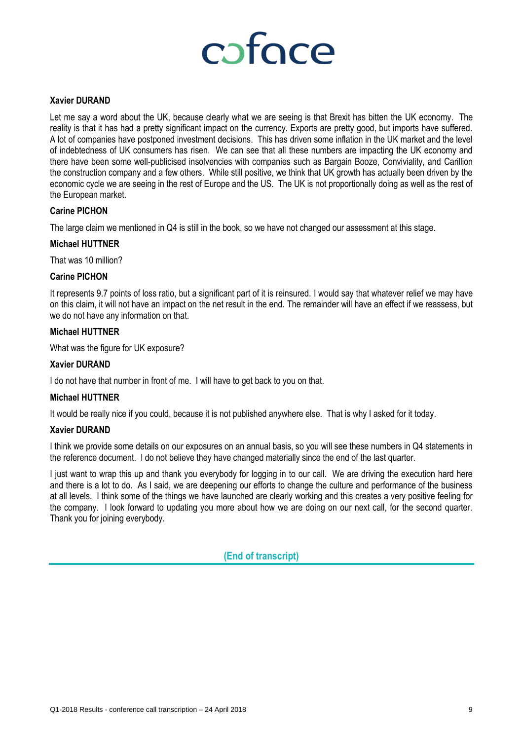

#### **Xavier DURAND**

Let me say a word about the UK, because clearly what we are seeing is that Brexit has bitten the UK economy. The reality is that it has had a pretty significant impact on the currency. Exports are pretty good, but imports have suffered. A lot of companies have postponed investment decisions. This has driven some inflation in the UK market and the level of indebtedness of UK consumers has risen. We can see that all these numbers are impacting the UK economy and there have been some well-publicised insolvencies with companies such as Bargain Booze, Conviviality, and Carillion the construction company and a few others. While still positive, we think that UK growth has actually been driven by the economic cycle we are seeing in the rest of Europe and the US. The UK is not proportionally doing as well as the rest of the European market.

### **Carine PICHON**

The large claim we mentioned in Q4 is still in the book, so we have not changed our assessment at this stage.

#### **Michael HUTTNER**

That was 10 million?

#### **Carine PICHON**

It represents 9.7 points of loss ratio, but a significant part of it is reinsured. I would say that whatever relief we may have on this claim, it will not have an impact on the net result in the end. The remainder will have an effect if we reassess, but we do not have any information on that.

#### **Michael HUTTNER**

What was the figure for UK exposure?

#### **Xavier DURAND**

I do not have that number in front of me. I will have to get back to you on that.

#### **Michael HUTTNER**

It would be really nice if you could, because it is not published anywhere else. That is why I asked for it today.

#### **Xavier DURAND**

I think we provide some details on our exposures on an annual basis, so you will see these numbers in Q4 statements in the reference document. I do not believe they have changed materially since the end of the last quarter.

I just want to wrap this up and thank you everybody for logging in to our call. We are driving the execution hard here and there is a lot to do. As I said, we are deepening our efforts to change the culture and performance of the business at all levels. I think some of the things we have launched are clearly working and this creates a very positive feeling for the company. I look forward to updating you more about how we are doing on our next call, for the second quarter. Thank you for joining everybody.

**(End of transcript)**